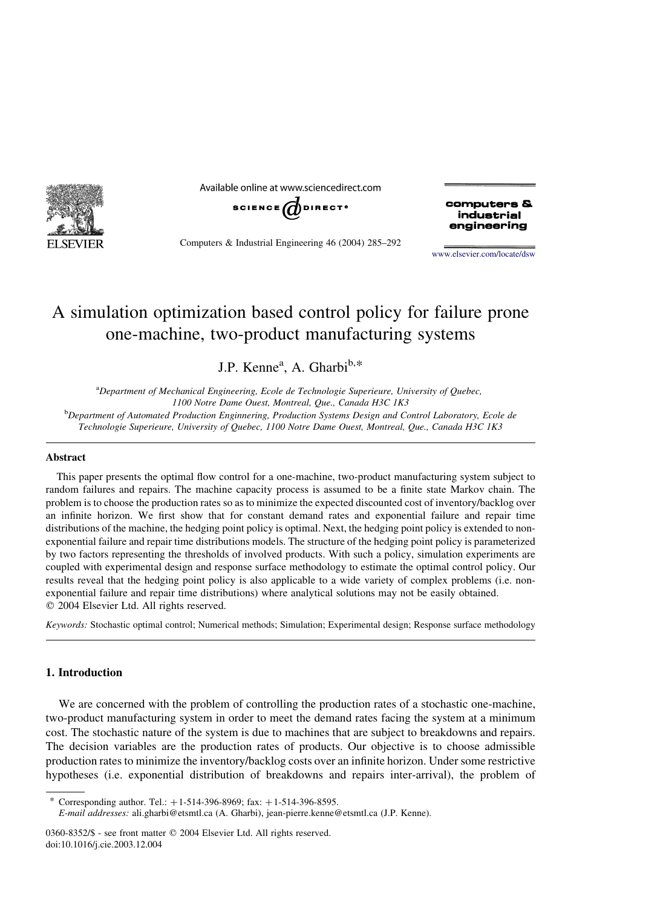

Available online at www.sciencedirect.com

 $\epsilon$ 

$$
\cdot \text{cible} \bigoplus \text{dible}
$$

computers & industrial engineering

Computers & Industrial Engineering 46 (2004) 285–292

[www.elsevier.com/locate/dsw](http://www.elsevier.com/locate/dsw)

# A simulation optimization based control policy for failure prone one-machine, two-product manufacturing systems

J.P. Kenne<sup>a</sup>, A. Gharbi<sup>b,\*</sup>

<sup>a</sup>Department of Mechanical Engineering, Ecole de Technologie Superieure, University of Quebec, 1100 Notre Dame Ouest, Montreal, Que., Canada H3C 1K3 **b** Department of Automated Production Enginnering, Production Systems Design and Control Laboratory, Ecole de Technologie Superieure, University of Quebec, 1100 Notre Dame Ouest, Montreal, Que., Canada H3C 1K3

### Abstract

This paper presents the optimal flow control for a one-machine, two-product manufacturing system subject to random failures and repairs. The machine capacity process is assumed to be a finite state Markov chain. The problem is to choose the production rates so as to minimize the expected discounted cost of inventory/backlog over an infinite horizon. We first show that for constant demand rates and exponential failure and repair time distributions of the machine, the hedging point policy is optimal. Next, the hedging point policy is extended to nonexponential failure and repair time distributions models. The structure of the hedging point policy is parameterized by two factors representing the thresholds of involved products. With such a policy, simulation experiments are coupled with experimental design and response surface methodology to estimate the optimal control policy. Our results reveal that the hedging point policy is also applicable to a wide variety of complex problems (i.e. nonexponential failure and repair time distributions) where analytical solutions may not be easily obtained.  $©$  2004 Elsevier Ltd. All rights reserved.

Keywords: Stochastic optimal control; Numerical methods; Simulation; Experimental design; Response surface methodology

## 1. Introduction

We are concerned with the problem of controlling the production rates of a stochastic one-machine, two-product manufacturing system in order to meet the demand rates facing the system at a minimum cost. The stochastic nature of the system is due to machines that are subject to breakdowns and repairs. The decision variables are the production rates of products. Our objective is to choose admissible production rates to minimize the inventory/backlog costs over an infinite horizon. Under some restrictive hypotheses (i.e. exponential distribution of breakdowns and repairs inter-arrival), the problem of

Corresponding author. Tel.:  $+1-514-396-8969$ ; fax:  $+1-514-396-8595$ .

E-mail addresses: ali.gharbi@etsmtl.ca (A. Gharbi), jean-pierre.kenne@etsmtl.ca (J.P. Kenne).

<sup>0360-8352/\$ -</sup> see front matter © 2004 Elsevier Ltd. All rights reserved. doi:10.1016/j.cie.2003.12.004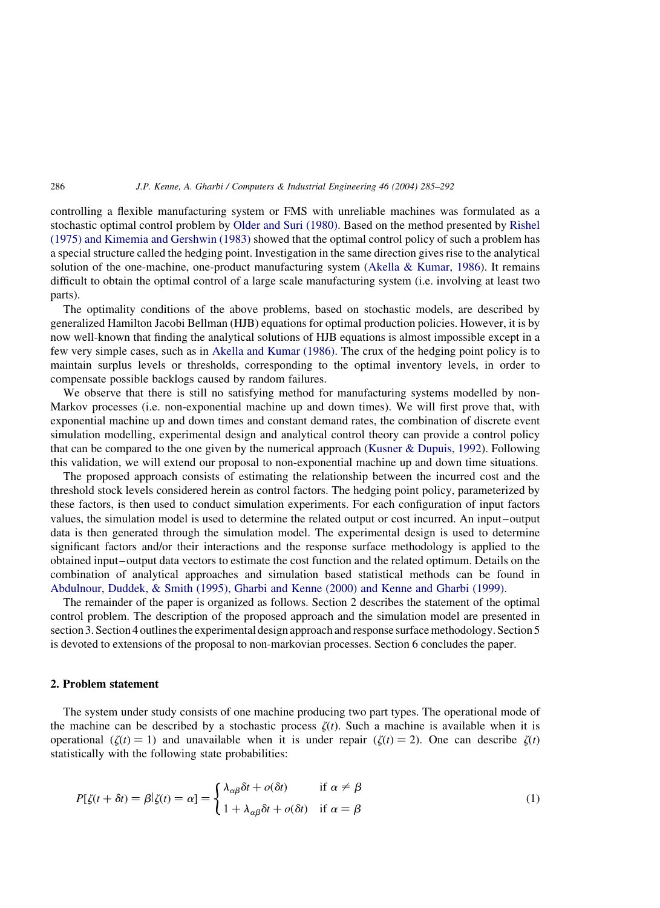#### 286 J.P. Kenne, A. Gharbi / Computers & Industrial Engineering 46 (2004) 285–292

controlling a flexible manufacturing system or FMS with unreliable machines was formulated as a stochastic optimal control problem by [Older and Suri \(1980\)](#page--1-0). Based on the method presented by [Rishel](#page--1-0) [\(1975\) and Kimemia and Gershwin \(1983\)](#page--1-0) showed that the optimal control policy of such a problem has a special structure called the hedging point. Investigation in the same direction gives rise to the analytical solution of the one-machine, one-product manufacturing system ([Akella & Kumar, 1986\)](#page--1-0). It remains difficult to obtain the optimal control of a large scale manufacturing system (i.e. involving at least two parts).

The optimality conditions of the above problems, based on stochastic models, are described by generalized Hamilton Jacobi Bellman (HJB) equations for optimal production policies. However, it is by now well-known that finding the analytical solutions of HJB equations is almost impossible except in a few very simple cases, such as in [Akella and Kumar \(1986\).](#page--1-0) The crux of the hedging point policy is to maintain surplus levels or thresholds, corresponding to the optimal inventory levels, in order to compensate possible backlogs caused by random failures.

We observe that there is still no satisfying method for manufacturing systems modelled by non-Markov processes (i.e. non-exponential machine up and down times). We will first prove that, with exponential machine up and down times and constant demand rates, the combination of discrete event simulation modelling, experimental design and analytical control theory can provide a control policy that can be compared to the one given by the numerical approach ([Kusner & Dupuis, 1992\)](#page--1-0). Following this validation, we will extend our proposal to non-exponential machine up and down time situations.

The proposed approach consists of estimating the relationship between the incurred cost and the threshold stock levels considered herein as control factors. The hedging point policy, parameterized by these factors, is then used to conduct simulation experiments. For each configuration of input factors values, the simulation model is used to determine the related output or cost incurred. An input–output data is then generated through the simulation model. The experimental design is used to determine significant factors and/or their interactions and the response surface methodology is applied to the obtained input–output data vectors to estimate the cost function and the related optimum. Details on the combination of analytical approaches and simulation based statistical methods can be found in [Abdulnour, Duddek, & Smith \(1995\), Gharbi and Kenne \(2000\) and Kenne and Gharbi \(1999\).](#page--1-0)

The remainder of the paper is organized as follows. Section 2 describes the statement of the optimal control problem. The description of the proposed approach and the simulation model are presented in section 3. Section 4 outlines the experimental design approach and response surface methodology. Section 5 is devoted to extensions of the proposal to non-markovian processes. Section 6 concludes the paper.

### 2. Problem statement

The system under study consists of one machine producing two part types. The operational mode of the machine can be described by a stochastic process  $\zeta(t)$ . Such a machine is available when it is operational  $(\zeta(t) = 1)$  and unavailable when it is under repair  $(\zeta(t) = 2)$ . One can describe  $\zeta(t)$ statistically with the following state probabilities:

$$
P[\zeta(t+\delta t) = \beta | \zeta(t) = \alpha] = \begin{cases} \lambda_{\alpha\beta}\delta t + o(\delta t) & \text{if } \alpha \neq \beta \\ 1 + \lambda_{\alpha\beta}\delta t + o(\delta t) & \text{if } \alpha = \beta \end{cases}
$$
 (1)